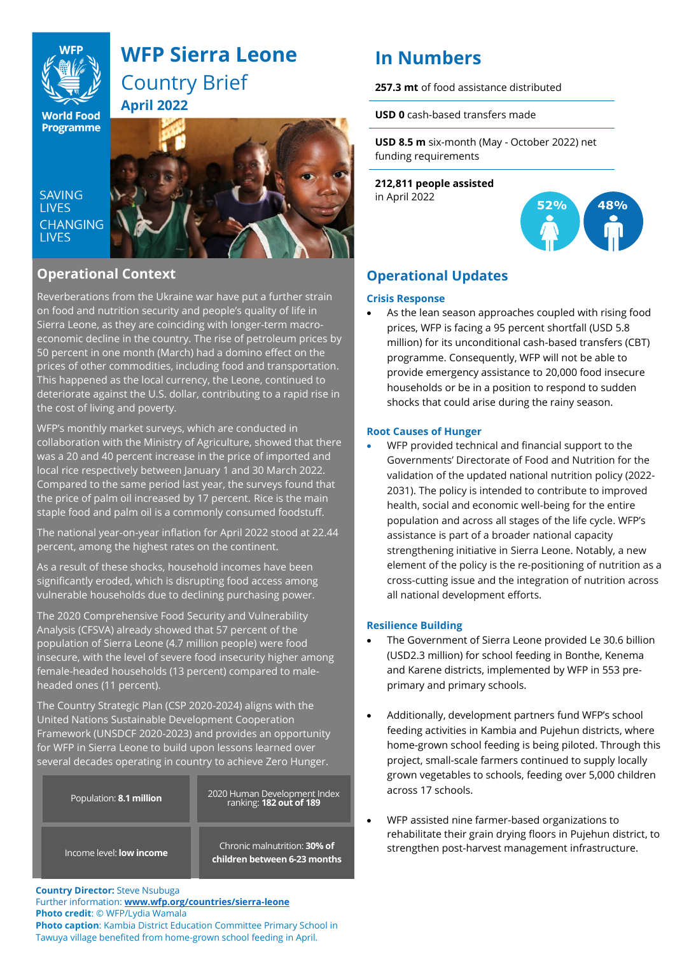

# **WFP Sierra Leone** Country Brief **April 2022**

**World Food Programme** 

SAVING **TIVES CHANGING LIVES** 



# **Operational Context**

Reverberations from the Ukraine war have put a further strain on food and nutrition security and people's quality of life in Sierra Leone, as they are coinciding with longer-term macroeconomic decline in the country. The rise of petroleum prices by 50 percent in one month (March) had a domino effect on the prices of other commodities, including food and transportation. This happened as the local currency, the Leone, continued to deteriorate against the U.S. dollar, contributing to a rapid rise in the cost of living and poverty.

WFP's monthly market surveys, which are conducted in collaboration with the Ministry of Agriculture, showed that there was a 20 and 40 percent increase in the price of imported and local rice respectively between January 1 and 30 March 2022. Compared to the same period last year, the surveys found that the price of palm oil increased by 17 percent. Rice is the main staple food and palm oil is a commonly consumed foodstuff.

The national year-on-year inflation for April 2022 stood at 22.44 percent, among the highest rates on the continent.

As a result of these shocks, household incomes have been significantly eroded, which is disrupting food access among vulnerable households due to declining purchasing power.

The 2020 Comprehensive Food Security and Vulnerability Analysis (CFSVA) already showed that 57 percent of the population of Sierra Leone (4.7 million people) were food insecure, with the level of severe food insecurity higher among female-headed households (13 percent) compared to maleheaded ones (11 percent).

The Country Strategic Plan (CSP 2020-2024) aligns with the United Nations Sustainable Development Cooperation Framework (UNSDCF 2020-2023) and provides an opportunity for WFP in Sierra Leone to build upon lessons learned over several decades operating in country to achieve Zero Hunger.

| Population: 8.1 million         | 2020 Human Development Index<br>ranking: <b>182 out of 189</b>      |
|---------------------------------|---------------------------------------------------------------------|
| Income level: <b>low income</b> | Chronic malnutrition: <b>30% of</b><br>children between 6-23 months |

**Country Director:** Steve Nsubuga

Further information: **www.wfp.org/countries/sierra-leone Photo credit**: © WFP/Lydia Wamala **Photo caption**: Kambia District Education Committee Primary School in Tawuya village benefited from home-grown school feeding in April.

# **In Numbers**

**257.3 mt** of food assistance distributed

**USD 0** cash-based transfers made

**USD 8.5 m** six-month (May - October 2022) net funding requirements

**212,811 people assisted**  in April 2022



# **Operational Updates**

### **Crisis Response**

As the lean season approaches coupled with rising food prices, WFP is facing a 95 percent shortfall (USD 5.8 million) for its unconditional cash-based transfers (CBT) programme. Consequently, WFP will not be able to provide emergency assistance to 20,000 food insecure households or be in a position to respond to sudden shocks that could arise during the rainy season.

### **Root Causes of Hunger**

• WFP provided technical and financial support to the Governments' Directorate of Food and Nutrition for the validation of the updated national nutrition policy (2022- 2031). The policy is intended to contribute to improved health, social and economic well-being for the entire population and across all stages of the life cycle. WFP's assistance is part of a broader national capacity strengthening initiative in Sierra Leone. Notably, a new element of the policy is the re-positioning of nutrition as a cross-cutting issue and the integration of nutrition across all national development efforts.

## **Resilience Building**

- The Government of Sierra Leone provided Le 30.6 billion (USD2.3 million) for school feeding in Bonthe, Kenema and Karene districts, implemented by WFP in 553 preprimary and primary schools.
- Additionally, development partners fund WFP's school feeding activities in Kambia and Pujehun districts, where home-grown school feeding is being piloted. Through this project, small-scale farmers continued to supply locally grown vegetables to schools, feeding over 5,000 children across 17 schools.
- WFP assisted nine farmer-based organizations to rehabilitate their grain drying floors in Pujehun district, to strengthen post-harvest management infrastructure.